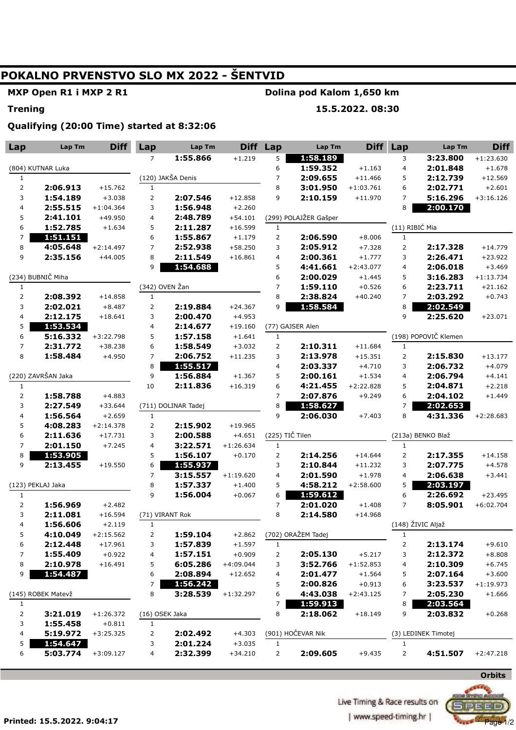# POKALNO PRVENSTVO SLO MX 2022 - ŠENTVID

MXP Open R1 i MXP 2 R1

#### Dolina pod Kalom 1,650 km

#### **Trening**

## 15.5.2022.08:30

### Qualifying (20:00 Time) started at 8:32:06

| Lap                     | Lap Tm             | <b>Diff</b> | Lap            | Lap Tm              |             | Diff Lap        | Lap Tm                | Diff        | Lap            | Lap Tm               | <b>Diff</b> |
|-------------------------|--------------------|-------------|----------------|---------------------|-------------|-----------------|-----------------------|-------------|----------------|----------------------|-------------|
|                         |                    |             | $\overline{7}$ | 1:55.866            | $+1.219$    | 5               | 1:58.189              |             | 3              | 3:23.800             | $+1:23.630$ |
| (804) KUTNAR Luka       |                    |             |                |                     |             | 6               | 1:59.352              | $+1.163$    | $\overline{4}$ | 2:01.848             | $+1.678$    |
| $\mathbf{1}$            |                    |             |                | (120) JAKŠA Denis   |             | 7               | 2:09.655              | $+11.466$   | 5              | 2:12.739             | $+12.569$   |
| 2                       | 2:06.913           | $+15.762$   | $\mathbf{1}$   |                     |             | 8               | 3:01.950              | $+1:03.761$ | 6              | 2:02.771             | $+2.601$    |
| 3                       | 1:54.189           | $+3.038$    | $\overline{2}$ | 2:07.546            | $+12.858$   | 9               | 2:10.159              | $+11.970$   | 7              | 5:16.296             | $+3:16.126$ |
| 4                       | 2:55.515           | $+1:04.364$ | 3              | 1:56.948            | $+2.260$    |                 |                       |             | 8              | 2:00.170             |             |
| 5                       | 2:41.101           | $+49.950$   | 4              | 2:48.789            | $+54.101$   |                 | (299) POLAJŽER Gašper |             |                |                      |             |
| 6                       | 1:52.785           | $+1.634$    | 5              | 2:11.287            | $+16.599$   | $\mathbf{1}$    |                       |             | (11) RIBIĆ Mia |                      |             |
| 7                       | 1:51.151           |             | 6              | 1:55.867            | $+1.179$    | $\overline{2}$  | 2:06.590              | $+8.006$    | $\mathbf{1}$   |                      |             |
| 8                       | 4:05.648           | $+2:14.497$ | $\overline{7}$ | 2:52.938            | $+58.250$   | 3               | 2:05.912              | $+7.328$    | $\overline{2}$ | 2:17.328             | $+14.779$   |
| 9                       | 2:35.156           | $+44.005$   | 8              | 2:11.549            | $+16.861$   | 4               | 2:00.361              | $+1.777$    | 3              | 2:26.471             | $+23.922$   |
|                         |                    |             | 9              | 1:54.688            |             | 5               | 4:41.661              | $+2:43.077$ | $\overline{4}$ | 2:06.018             | $+3.469$    |
| (234) BUBNIČ Miha       |                    |             |                |                     | 6           | 2:00.029        | $+1.445$              | 5           | 3:16.283       | $+1:13.734$          |             |
| $\mathbf{1}$            |                    |             | (342) OVEN Žan |                     |             | 7               | 1:59.110              | $+0.526$    | 6              | 2:23.711             | $+21.162$   |
| 2                       | 2:08.392           | $+14.858$   | $\mathbf{1}$   |                     |             | 8               | 2:38.824              | $+40.240$   | 7              | 2:03.292             | $+0.743$    |
| 3                       | 2:02.021           | $+8.487$    | 2              | 2:19.884            | $+24.367$   | 9               | 1:58.584              |             | 8              | 2:02.549             |             |
| 4                       | 2:12.175           | $+18.641$   | 3              | 2:00.470            | $+4.953$    |                 |                       |             | 9              | 2:25.620             | $+23.071$   |
| 5                       | 1:53.534           |             | 4              | 2:14.677            | $+19.160$   |                 | (77) GAJSER Alen      |             |                |                      |             |
| 6                       | 5:16.332           | $+3:22.798$ | 5              | 1:57.158            | $+1.641$    | $\mathbf{1}$    |                       |             |                | (198) POPOVIČ Klemen |             |
| 7                       | 2:31.772           | $+38.238$   | 6              | 1:58.549            | $+3.032$    | $\overline{2}$  | 2:10.311              | $+11.684$   | $\mathbf{1}$   |                      |             |
| 8                       | 1:58.484           | $+4.950$    | $\overline{7}$ | 2:06.752            | $+11.235$   | 3               | 2:13.978              | $+15.351$   | $\overline{2}$ | 2:15.830             | $+13.177$   |
|                         |                    |             | 8              | 1:55.517            |             | 4               | 2:03.337              | $+4.710$    | 3              | 2:06.732             | $+4.079$    |
|                         | (220) ZAVRŠAN Jaka |             | 9              | 1:56.884            | $+1.367$    | 5               | 2:00.161              | $+1.534$    | $\overline{4}$ | 2:06.794             | $+4.141$    |
| $\mathbf{1}$            |                    |             | 10             | 2:11.836            | $+16.319$   | 6               | 4:21.455              | $+2:22.828$ | 5              | 2:04.871             | $+2.218$    |
| $\overline{\mathbf{c}}$ | 1:58.788           | $+4.883$    |                |                     |             | $\overline{7}$  | 2:07.876              | $+9.249$    | 6              | 2:04.102             | $+1.449$    |
| 3                       | 2:27.549           | $+33.644$   |                | (711) DOLINAR Tadej |             | 8               | 1:58.627              |             | 7              | 2:02.653             |             |
| 4                       | 1:56.564           | $+2.659$    | $\mathbf{1}$   |                     |             | 9               | 2:06.030              | $+7.403$    | 8              | 4:31.336             | $+2:28.683$ |
| 5                       | 4:08.283           | $+2:14.378$ | $\overline{2}$ | 2:15.902            | $+19.965$   |                 |                       |             |                |                      |             |
| 6                       | 2:11.636           | $+17.731$   | 3              | 2:00.588            | $+4.651$    | (225) TIČ Tilen |                       |             |                | (213a) BENKO Blaž    |             |
| $\overline{7}$          | 2:01.150           | $+7.245$    | 4              | 3:22.571            | $+1:26.634$ | $\mathbf{1}$    |                       |             | $\mathbf{1}$   |                      |             |
| 8                       | 1:53.905           |             | 5              | 1:56.107            | $+0.170$    | $\mathsf{2}\,$  | 2:14.256              | $+14.644$   |                | 2:17.355             | $+14.158$   |
| 9                       | 2:13.455           | $+19.550$   | 6              | 1:55.937            |             | 3               | 2:10.844              | $+11.232$   | 3              | 2:07.775             | $+4.578$    |
|                         |                    |             | $\overline{7}$ | 3:15.557            | $+1:19.620$ | 4               | 2:01.590              | $+1.978$    | $\overline{4}$ | 2:06.638             | $+3.441$    |
|                         | (123) PEKLAJ Jaka  |             | 8              | 1:57.337            | $+1.400$    | 5               | 4:58.212              | $+2:58.600$ | 5              | 2:03.197             |             |
| 1                       |                    |             | 9              | 1:56.004            | $+0.067$    | 6               | 1:59.612              |             | 6              | 2:26.692             | $+23.495$   |
| 2                       | 1:56.969           | $+2.482$    |                |                     |             | 7               | 2:01.020              | $+1.408$    | $\overline{7}$ | 8:05.901             | $+6:02.704$ |
| 3                       | 2:11.081           | $+16.594$   |                | (71) VIRANT Rok     |             | 8               | 2:14.580              | $+14.968$   |                |                      |             |
| 4                       | 1:56.606           | $+2.119$    | $\mathbf{1}$   |                     |             |                 |                       |             |                | (148) ŽIVIC Aljaž    |             |
| 5                       | 4:10.049           | $+2:15.562$ | 2              | 1:59.104            | $+2.862$    |                 | (702) ORAŽEM Tadej    |             | 1              |                      |             |
| 6                       | 2:12.448           | $+17.961$   | 3              | 1:57.839            | $+1.597$    | $\mathbf{1}$    |                       |             | 2              | 2:13.174             | $+9.610$    |
| 7                       | 1:55.409           | $+0.922$    | 4              | 1:57.151            | $+0.909$    | $\overline{2}$  | 2:05.130              | $+5.217$    | 3              | 2:12.372             | $+8.808$    |
| 8                       | 2:10.978           | $+16.491$   | 5              | 6:05.286            | $+4:09.044$ | 3               | 3:52.766              | $+1:52.853$ | 4              | 2:10.309             | $+6.745$    |
| 9                       | 1:54.487           |             | 6              | 2:08.894            | $+12.652$   | 4               | 2:01.477              | $+1.564$    | 5              | 2:07.164             | $+3.600$    |
|                         |                    |             | 7              | 1:56.242            |             | 5               | 2:00.826              | $+0.913$    | 6              | 3:23.537             | $+1:19.973$ |
|                         | (145) ROBEK Matevž |             | 8              | 3:28.539            | $+1:32.297$ | 6               | 4:43.038              | $+2:43.125$ | 7              | 2:05.230             | $+1.666$    |
| $\mathbf{1}$            |                    |             |                |                     |             | 7               | 1:59.913              |             | 8              | 2:03.564             |             |
| $\mathbf{2}$            | 3:21.019           | $+1:26.372$ | (16) OSEK Jaka |                     |             | 8               | 2:18.062              | $+18.149$   | 9              | 2:03.832             | $+0.268$    |
| 3                       | 1:55.458           | $+0.811$    | $\mathbf{1}$   |                     |             |                 |                       |             |                |                      |             |
| 4                       | 5:19.972           | $+3:25.325$ | 2              | 2:02.492            | $+4.303$    |                 | (901) HOČEVAR Nik     |             |                | (3) LEDINEK Timotej  |             |
| 5                       | 1:54.647           |             | 3              | 2:01.224            | $+3.035$    | $\mathbf{1}$    |                       |             | $\mathbf{1}$   |                      |             |
| 6                       | 5:03.774           | $+3:09.127$ | 4              | 2:32.399            | $+34.210$   | $\overline{2}$  | 2:09.605              | $+9.435$    | $\overline{2}$ | 4:51.507             | $+2:47.218$ |



 $2EED$ 

**Murphys' 1/2**